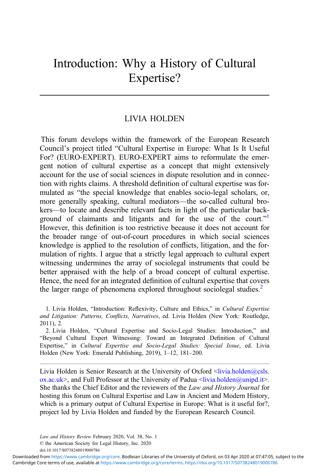## Introduction: Why a History of Cultural Expertise?

## LIVIA HOLDEN

This forum develops within the framework of the European Research Council's project titled "Cultural Expertise in Europe: What Is It Useful For? (EURO-EXPERT). EURO-EXPERT aims to reformulate the emergent notion of cultural expertise as a concept that might extensively account for the use of social sciences in dispute resolution and in connection with rights claims. A threshold definition of cultural expertise was formulated as "the special knowledge that enables socio-legal scholars, or, more generally speaking, cultural mediators—the so-called cultural brokers—to locate and describe relevant facts in light of the particular background of claimants and litigants and for the use of the court."<sup>1</sup> However, this definition is too restrictive because it does not account for the broader range of out-of-court procedures in which social sciences knowledge is applied to the resolution of conflicts, litigation, and the formulation of rights. I argue that a strictly legal approach to cultural expert witnessing undermines the array of sociolegal instruments that could be better appraised with the help of a broad concept of cultural expertise. Hence, the need for an integrated definition of cultural expertise that covers the larger range of phenomena explored throughout sociolegal studies.<sup>2</sup>

Livia Holden is Senior Research at the University of Oxford  $\langle$ livia.holden@csls. [ox.ac.uk](mailto:livia.holden@csls.ox.ac.uk)>, and Full Professor at the University of Padua  $\langle$ -[livia.holden@unipd.it](mailto:livia.holden@unipd.it)>. She thanks the Chief Editor and the reviewers of the Law and History Journal for hosting this forum on Cultural Expertise and Law in Ancient and Modern History, which is a primary output of Cultural Expertise in Europe: What is it useful for?, project led by Livia Holden and funded by the European Research Council.

<sup>1.</sup> Livia Holden, "Introduction: Reflexivity, Culture and Ethics," in Cultural Expertise and Litigation: Patterns, Conflicts, Narratives, ed. Livia Holden (New York: Routledge, 2011), 2.

<sup>2.</sup> Livia Holden, "Cultural Expertise and Socio-Legal Studies: Introduction," and "Beyond Cultural Expert Witnessing: Toward an Integrated Definition of Cultural Expertise," in Cultural Expertise and Socio-Legal Studies: Special Issue, ed. Livia Holden (New York: Emerald Publishing, 2019), 1–12, 181–200.

Law and History Review February 2020, Vol. 38, No. 1

<sup>©</sup> the American Society for Legal History, Inc. 2020 doi:10.1017/S0738248019000786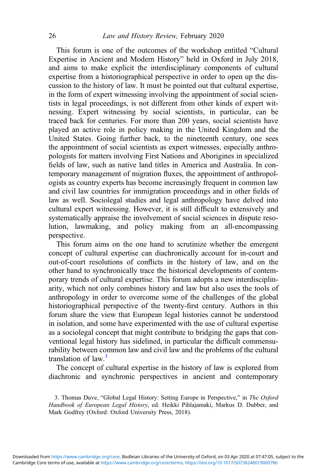This forum is one of the outcomes of the workshop entitled "Cultural Expertise in Ancient and Modern History" held in Oxford in July 2018, and aims to make explicit the interdisciplinary components of cultural expertise from a historiographical perspective in order to open up the discussion to the history of law. It must be pointed out that cultural expertise, in the form of expert witnessing involving the appointment of social scientists in legal proceedings, is not different from other kinds of expert witnessing. Expert witnessing by social scientists, in particular, can be traced back for centuries. For more than 200 years, social scientists have played an active role in policy making in the United Kingdom and the United States. Going further back, to the nineteenth century, one sees the appointment of social scientists as expert witnesses, especially anthropologists for matters involving First Nations and Aborigines in specialized fields of law, such as native land titles in America and Australia. In contemporary management of migration fluxes, the appointment of anthropologists as country experts has become increasingly frequent in common law and civil law countries for immigration proceedings and in other fields of law as well. Sociolegal studies and legal anthropology have delved into cultural expert witnessing. However, it is still difficult to extensively and systematically appraise the involvement of social sciences in dispute resolution, lawmaking, and policy making from an all-encompassing perspective.

This forum aims on the one hand to scrutinize whether the emergent concept of cultural expertise can diachronically account for in-court and out-of-court resolutions of conflicts in the history of law, and on the other hand to synchronically trace the historical developments of contemporary trends of cultural expertise. This forum adopts a new interdisciplinarity, which not only combines history and law but also uses the tools of anthropology in order to overcome some of the challenges of the global historiographical perspective of the twenty-first century. Authors in this forum share the view that European legal histories cannot be understood in isolation, and some have experimented with the use of cultural expertise as a sociolegal concept that might contribute to bridging the gaps that conventional legal history has sidelined, in particular the difficult commensurability between common law and civil law and the problems of the cultural translation of law.<sup>3</sup>

The concept of cultural expertise in the history of law is explored from diachronic and synchronic perspectives in ancient and contemporary

<sup>3.</sup> Thomas Duve, "Global Legal History: Setting Europe in Perspective," in The Oxford Handbook of European Legal History, ed. Heikki Pihlajamaki, Markus D. Dubber, and Mark Godfrey (Oxford: Oxford University Press, 2018).